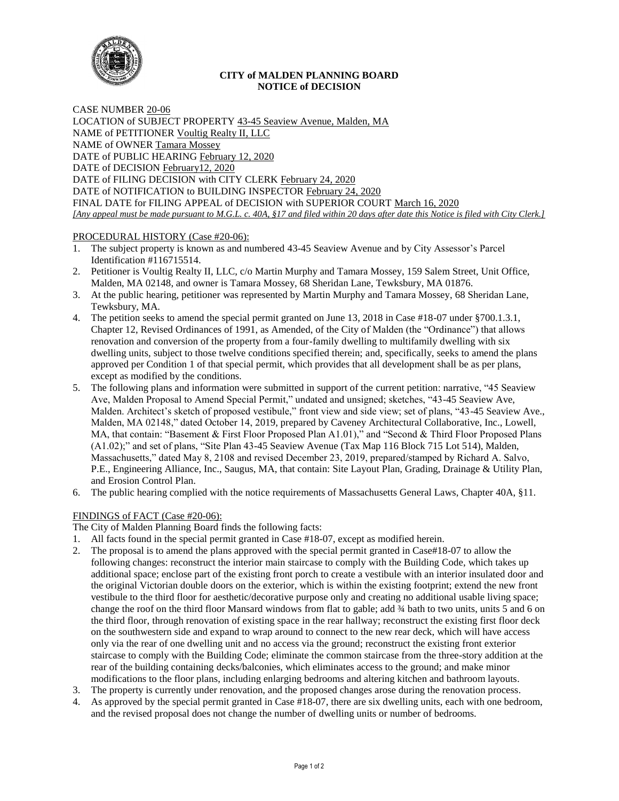

### **CITY of MALDEN PLANNING BOARD NOTICE of DECISION**

CASE NUMBER 20-06 LOCATION of SUBJECT PROPERTY 43-45 Seaview Avenue, Malden, MA NAME of PETITIONER Voultig Realty II, LLC NAME of OWNER Tamara Mossey DATE of PUBLIC HEARING February 12, 2020 DATE of DECISION February12, 2020 DATE of FILING DECISION with CITY CLERK February 24, 2020 DATE of NOTIFICATION to BUILDING INSPECTOR February 24, 2020 FINAL DATE for FILING APPEAL of DECISION with SUPERIOR COURT March 16, 2020 *[Any appeal must be made pursuant to M.G.L. c. 40A, §17 and filed within 20 days after date this Notice is filed with City Clerk.]* 

# PROCEDURAL HISTORY (Case #20-06):

- 1. The subject property is known as and numbered 43-45 Seaview Avenue and by City Assessor's Parcel Identification #116715514.
- 2. Petitioner is Voultig Realty II, LLC, c/o Martin Murphy and Tamara Mossey, 159 Salem Street, Unit Office, Malden, MA 02148, and owner is Tamara Mossey, 68 Sheridan Lane, Tewksbury, MA 01876.
- 3. At the public hearing, petitioner was represented by Martin Murphy and Tamara Mossey, 68 Sheridan Lane, Tewksbury, MA.
- 4. The petition seeks to amend the special permit granted on June 13, 2018 in Case #18-07 under §700.1.3.1, Chapter 12, Revised Ordinances of 1991, as Amended, of the City of Malden (the "Ordinance") that allows renovation and conversion of the property from a four-family dwelling to multifamily dwelling with six dwelling units, subject to those twelve conditions specified therein; and, specifically, seeks to amend the plans approved per Condition 1 of that special permit, which provides that all development shall be as per plans, except as modified by the conditions.
- 5. The following plans and information were submitted in support of the current petition: narrative, "45 Seaview Ave, Malden Proposal to Amend Special Permit," undated and unsigned; sketches, "43-45 Seaview Ave, Malden. Architect's sketch of proposed vestibule," front view and side view; set of plans, "43-45 Seaview Ave., Malden, MA 02148," dated October 14, 2019, prepared by Caveney Architectural Collaborative, Inc., Lowell, MA, that contain: "Basement & First Floor Proposed Plan A1.01)," and "Second & Third Floor Proposed Plans (A1.02);" and set of plans, "Site Plan 43-45 Seaview Avenue (Tax Map 116 Block 715 Lot 514), Malden, Massachusetts," dated May 8, 2108 and revised December 23, 2019, prepared/stamped by Richard A. Salvo, P.E., Engineering Alliance, Inc., Saugus, MA, that contain: Site Layout Plan, Grading, Drainage & Utility Plan, and Erosion Control Plan.
- 6. The public hearing complied with the notice requirements of Massachusetts General Laws, Chapter 40A, §11.

# FINDINGS of FACT (Case #20-06):

The City of Malden Planning Board finds the following facts:

- 1. All facts found in the special permit granted in Case #18-07, except as modified herein.
- 2. The proposal is to amend the plans approved with the special permit granted in Case#18-07 to allow the following changes: reconstruct the interior main staircase to comply with the Building Code, which takes up additional space; enclose part of the existing front porch to create a vestibule with an interior insulated door and the original Victorian double doors on the exterior, which is within the existing footprint; extend the new front vestibule to the third floor for aesthetic/decorative purpose only and creating no additional usable living space; change the roof on the third floor Mansard windows from flat to gable; add ¾ bath to two units, units 5 and 6 on the third floor, through renovation of existing space in the rear hallway; reconstruct the existing first floor deck on the southwestern side and expand to wrap around to connect to the new rear deck, which will have access only via the rear of one dwelling unit and no access via the ground; reconstruct the existing front exterior staircase to comply with the Building Code; eliminate the common staircase from the three-story addition at the rear of the building containing decks/balconies, which eliminates access to the ground; and make minor modifications to the floor plans, including enlarging bedrooms and altering kitchen and bathroom layouts.
- 3. The property is currently under renovation, and the proposed changes arose during the renovation process.
- 4. As approved by the special permit granted in Case #18-07, there are six dwelling units, each with one bedroom, and the revised proposal does not change the number of dwelling units or number of bedrooms.